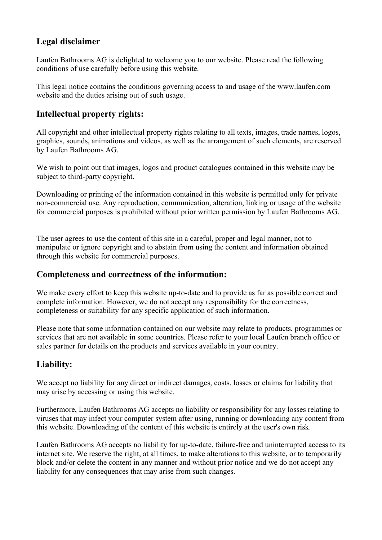# **Legal disclaimer**

Laufen Bathrooms AG is delighted to welcome you to our website. Please read the following conditions of use carefully before using this website.

This legal notice contains the conditions governing access to and usage of the www.laufen.com website and the duties arising out of such usage.

## **Intellectual property rights:**

All copyright and other intellectual property rights relating to all texts, images, trade names, logos, graphics, sounds, animations and videos, as well as the arrangement of such elements, are reserved by Laufen Bathrooms AG.

We wish to point out that images, logos and product catalogues contained in this website may be subject to third-party copyright.

Downloading or printing of the information contained in this website is permitted only for private non-commercial use. Any reproduction, communication, alteration, linking or usage of the website for commercial purposes is prohibited without prior written permission by Laufen Bathrooms AG.

The user agrees to use the content of this site in a careful, proper and legal manner, not to manipulate or ignore copyright and to abstain from using the content and information obtained through this website for commercial purposes.

## **Completeness and correctness of the information:**

We make every effort to keep this website up-to-date and to provide as far as possible correct and complete information. However, we do not accept any responsibility for the correctness, completeness or suitability for any specific application of such information.

Please note that some information contained on our website may relate to products, programmes or services that are not available in some countries. Please refer to your local Laufen branch office or sales partner for details on the products and services available in your country.

## **Liability:**

We accept no liability for any direct or indirect damages, costs, losses or claims for liability that may arise by accessing or using this website.

Furthermore, Laufen Bathrooms AG accepts no liability or responsibility for any losses relating to viruses that may infect your computer system after using, running or downloading any content from this website. Downloading of the content of this website is entirely at the user's own risk.

Laufen Bathrooms AG accepts no liability for up-to-date, failure-free and uninterrupted access to its internet site. We reserve the right, at all times, to make alterations to this website, or to temporarily block and/or delete the content in any manner and without prior notice and we do not accept any liability for any consequences that may arise from such changes.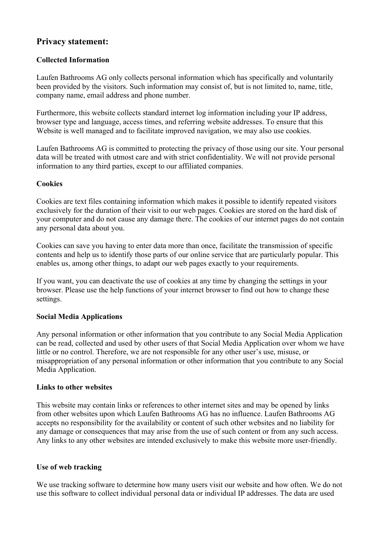# **Privacy statement:**

## **Collected Information**

Laufen Bathrooms AG only collects personal information which has specifically and voluntarily been provided by the visitors. Such information may consist of, but is not limited to, name, title, company name, email address and phone number.

Furthermore, this website collects standard internet log information including your IP address, browser type and language, access times, and referring website addresses. To ensure that this Website is well managed and to facilitate improved navigation, we may also use cookies.

Laufen Bathrooms AG is committed to protecting the privacy of those using our site. Your personal data will be treated with utmost care and with strict confidentiality. We will not provide personal information to any third parties, except to our affiliated companies.

## **Cookies**

Cookies are text files containing information which makes it possible to identify repeated visitors exclusively for the duration of their visit to our web pages. Cookies are stored on the hard disk of your computer and do not cause any damage there. The cookies of our internet pages do not contain any personal data about you.

Cookies can save you having to enter data more than once, facilitate the transmission of specific contents and help us to identify those parts of our online service that are particularly popular. This enables us, among other things, to adapt our web pages exactly to your requirements.

If you want, you can deactivate the use of cookies at any time by changing the settings in your browser. Please use the help functions of your internet browser to find out how to change these settings.

### **Social Media Applications**

Any personal information or other information that you contribute to any Social Media Application can be read, collected and used by other users of that Social Media Application over whom we have little or no control. Therefore, we are not responsible for any other user's use, misuse, or misappropriation of any personal information or other information that you contribute to any Social Media Application.

### **Links to other websites**

This website may contain links or references to other internet sites and may be opened by links from other websites upon which Laufen Bathrooms AG has no influence. Laufen Bathrooms AG accepts no responsibility for the availability or content of such other websites and no liability for any damage or consequences that may arise from the use of such content or from any such access. Any links to any other websites are intended exclusively to make this website more user-friendly.

### **Use of web tracking**

We use tracking software to determine how many users visit our website and how often. We do not use this software to collect individual personal data or individual IP addresses. The data are used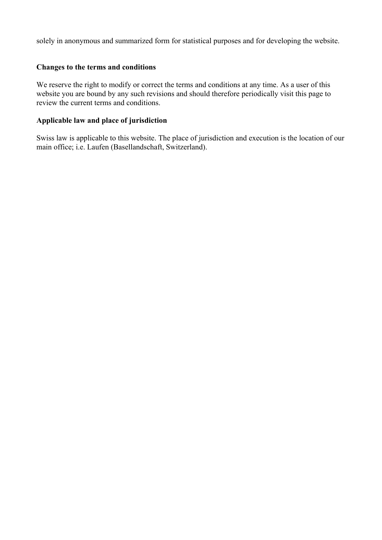solely in anonymous and summarized form for statistical purposes and for developing the website.

### **Changes to the terms and conditions**

We reserve the right to modify or correct the terms and conditions at any time. As a user of this website you are bound by any such revisions and should therefore periodically visit this page to review the current terms and conditions.

#### **Applicable law and place of jurisdiction**

Swiss law is applicable to this website. The place of jurisdiction and execution is the location of our main office; i.e. Laufen (Basellandschaft, Switzerland).